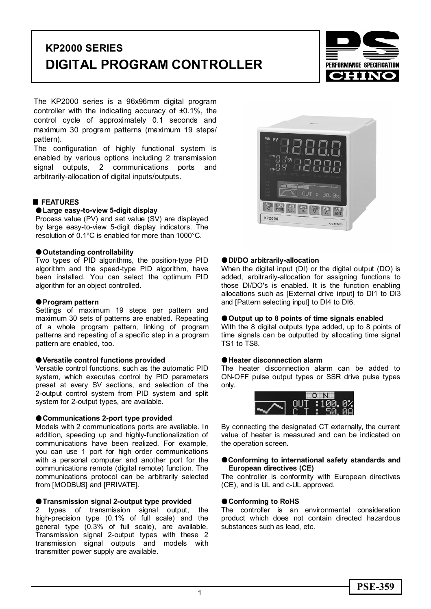# **KP2000 SERIES DIGITAL PROGRAM CONTROLLER**



The KP2000 series is a 96x96mm digital program controller with the indicating accuracy of ±0.1%, the control cycle of approximately 0.1 seconds and maximum 30 program patterns (maximum 19 steps/ pattern).

The configuration of highly functional system is enabled by various options including 2 transmission signal outputs, 2 communications ports and arbitrarily-allocation of digital inputs/outputs.

## **FEATURES**

#### z**Large easy-to-view 5-digit display**

Process value (PV) and set value (SV) are displayed by large easy-to-view 5-digit display indicators. The resolution of 0.1°C is enabled for more than 1000°C.

#### z**Outstanding controllability**

Two types of PID algorithms, the position-type PID algorithm and the speed-type PID algorithm, have been installed. You can select the optimum PID algorithm for an object controlled.

#### z**Program pattern**

Settings of maximum 19 steps per pattern and maximum 30 sets of patterns are enabled. Repeating of a whole program pattern, linking of program patterns and repeating of a specific step in a program pattern are enabled, too.

#### z**Versatile control functions provided**

Versatile control functions, such as the automatic PID system, which executes control by PID parameters preset at every SV sections, and selection of the 2-output control system from PID system and split system for 2-output types, are available.

## $Q$ **Communications 2-port type provided**

Models with 2 communications ports are available. In addition, speeding up and highly-functionalization of communications have been realized. For example, you can use 1 port for high order communications with a personal computer and another port for the communications remote (digital remote) function. The communications protocol can be arbitrarily selected from [MODBUS] and [PRIVATE].

# $\bullet$  **Transmission signal 2-output type provided**

2 types of transmission signal output, the high-precision type (0.1% of full scale) and the general type (0.3% of full scale), are available. Transmission signal 2-output types with these 2 transmission signal outputs and models with transmitter power supply are available.



#### z**DI/DO arbitrarily-allocation**

When the digital input (DI) or the digital output (DO) is added, arbitrarily-allocation for assigning functions to those DI/DO's is enabled. It is the function enabling allocations such as [External drive input] to DI1 to DI3 and [Pattern selecting input] to DI4 to DI6.

#### ● Output up to 8 points of time signals enabled

With the 8 digital outputs type added, up to 8 points of time signals can be outputted by allocating time signal TS1 to TS8.

#### ● Heater disconnection alarm

The heater disconnection alarm can be added to ON-OFF pulse output types or SSR drive pulse types only.



By connecting the designated CT externally, the current value of heater is measured and can be indicated on the operation screen.

#### $Q$ **Conforming to international safety standards and European directives (CE)**

The controller is conformity with European directives (CE), and is UL and c-UL approved.

#### ● Conforming to RoHS

The controller is an environmental consideration product which does not contain directed hazardous substances such as lead, etc.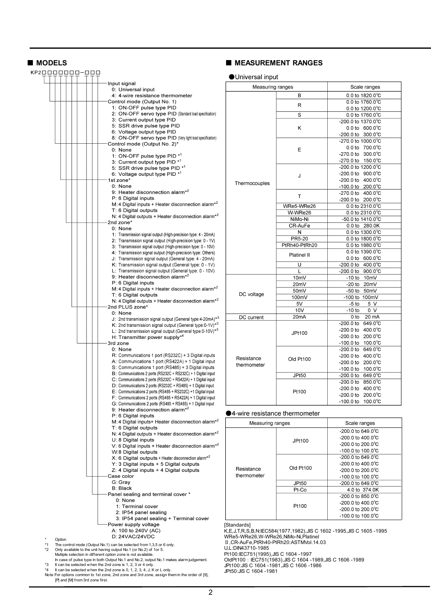| KP20000000-000 |  |  |  |                                                                                                                                               |    |
|----------------|--|--|--|-----------------------------------------------------------------------------------------------------------------------------------------------|----|
|                |  |  |  | Input signal                                                                                                                                  |    |
|                |  |  |  | 0: Universal input                                                                                                                            |    |
|                |  |  |  | 4: 4-wire resistance thermometer<br>Control mode (Output No. 1)                                                                               |    |
|                |  |  |  | 1: ON-OFF pulse type PID                                                                                                                      |    |
|                |  |  |  | 2: ON-OFF servo type PID (Standard load specification)                                                                                        |    |
|                |  |  |  | 3: Current output type PID<br>5: SSR drive pulse type PID                                                                                     |    |
|                |  |  |  | 6: Voltage output type PID                                                                                                                    |    |
|                |  |  |  | 8: ON-OFF servo type PID (Very light load specification)                                                                                      |    |
|                |  |  |  | Control mode (Output No. 2)*<br>0: None                                                                                                       |    |
|                |  |  |  | 1: ON-OFF pulse type PID *1                                                                                                                   |    |
|                |  |  |  | 3: Current output type PID <sup>*1</sup>                                                                                                      |    |
|                |  |  |  | 5: SSR drive pulse type PID * <sup>1</sup><br>6: Voltage output type PID * <sup>1</sup>                                                       |    |
|                |  |  |  | 1st zone*                                                                                                                                     |    |
|                |  |  |  | 0: None                                                                                                                                       |    |
|                |  |  |  | 9: Heater disconnection alarm <sup>*2</sup><br>P: 6 Digital inputs                                                                            |    |
|                |  |  |  | M: 4 Digital inputs + Heater disconnection alarm <sup>*2</sup>                                                                                |    |
|                |  |  |  | T: 6 Digital outputs                                                                                                                          |    |
|                |  |  |  | N: 4 Digital outputs + Heater disconnection alarm <sup>*2</sup><br>2nd zone*                                                                  |    |
|                |  |  |  | 0: None                                                                                                                                       |    |
|                |  |  |  | 1: Transmission signal output (High-precision type: 4 - 20mA)                                                                                 |    |
|                |  |  |  | 2: Transmission signal output (High-precision type: 0 - 1V)                                                                                   |    |
|                |  |  |  | 3: Transmission signal output (High-precision type: 0 - 10V)<br>4: Transmission signal output (High-precision type: Others)                   |    |
|                |  |  |  | J: Transmission signal output (General type: 4 - 20mA)                                                                                        |    |
|                |  |  |  | K: Transmission signal output (General type: 0 - 1V)                                                                                          |    |
|                |  |  |  | L: Transmission signal output (General type: 0 - 10V)<br>9: Heater disconnection alarm <sup>*2</sup>                                          |    |
|                |  |  |  | P: 6 Digital inputs                                                                                                                           |    |
|                |  |  |  | M: 4 Digital inputs + Heater disconnection alarm*2                                                                                            |    |
|                |  |  |  | T: 6 Digital outputs<br>N: 4 Digital outputs + Heater disconnection alarm <sup>*2</sup>                                                       |    |
|                |  |  |  | 2nd PLUS zone*                                                                                                                                |    |
|                |  |  |  | 0: None                                                                                                                                       |    |
|                |  |  |  | J: 2nd transmission signal output (General type: 4-20mA)* <sup>3</sup><br>K: 2nd transmission signal output (General type:0-1V) <sup>*3</sup> |    |
|                |  |  |  | L: 2nd transmission signal output (General type:0-10V) <sup>*3</sup>                                                                          |    |
|                |  |  |  | H: Transmitter power supply*4                                                                                                                 |    |
|                |  |  |  | 3rd zone<br>0: None                                                                                                                           |    |
|                |  |  |  | R: Communications 1 port (RS232C) + 3 Digital inputs                                                                                          |    |
|                |  |  |  | A: Communications 1 port (RS422A) + 1 Digital input                                                                                           |    |
|                |  |  |  | S: Communications 1 port (RS485) + 3 Digital inputs<br>B: Communications 2 ports (RS232C + RS232C) + 1 Digital input                          |    |
|                |  |  |  | C: Communications 2 ports (RS232C + RS422A) + 1 Digital input                                                                                 |    |
|                |  |  |  | D: Communications 2 ports (RS232C + RS485) + 1 Digital input                                                                                  |    |
|                |  |  |  | E: Communications 2 ports (RS485 + RS232C) +1 Digital input<br>F: Communications 2 ports (RS485 + RS422A) + 1 Digital input                   |    |
|                |  |  |  | G: Communications 2 ports (RS485 + RS485) + 1 Digital input                                                                                   |    |
|                |  |  |  | 9: Heater disconnection alarm* <sup>2</sup>                                                                                                   |    |
|                |  |  |  | P: 6 Digital inputs<br>M: 4 Digital inputs+ Heater disconnection alarm*2                                                                      |    |
|                |  |  |  | T: 6 Digital outputs                                                                                                                          |    |
|                |  |  |  | N: 4 Digital outputs + Heater disconnection alarm <sup>*2</sup>                                                                               |    |
|                |  |  |  | U: 8 Digital inputs<br>V: 6 Digital inputs + Heater disconnection alarm <sup>*2</sup>                                                         |    |
|                |  |  |  | W:8 Digital outputs                                                                                                                           |    |
|                |  |  |  | $X: 6$ Digital outputs + Heater disconnection alarm <sup>*2</sup>                                                                             |    |
|                |  |  |  | Y: 3 Digital inputs + 5 Digital outputs<br>Z: 4 Digital inputs + 4 Digital outputs                                                            |    |
|                |  |  |  | Case color                                                                                                                                    |    |
|                |  |  |  | G: Gray                                                                                                                                       |    |
|                |  |  |  | B: Black                                                                                                                                      |    |
|                |  |  |  | Panel sealing and terminal cover *<br>0: None                                                                                                 |    |
|                |  |  |  | 1: Terminal cover                                                                                                                             |    |
|                |  |  |  | 2: IP54 panel sealing                                                                                                                         |    |
|                |  |  |  | 3: IP54 panel sealing + Terminal cover<br>Power supply voltage                                                                                | [S |
|                |  |  |  | A: 100 to 240V (AC)                                                                                                                           | Κ  |
|                |  |  |  | D: 24VAC/24VDC                                                                                                                                | N  |

# \* Option<br>\*1 The cor

\*1 The control mode (Output No.1) can be selected from 1,3,5 or 6 only.

- 
- 22 Only available to the unit having output No.1 (or No.2) of 1or 5.<br>Multiple selection in different option zone is not available.<br>In case of pulse type in both Output No.1 and No.2, output No.1 makes alarm judgement.<br>To a

\*4 It can be selected w hen the 2nd zone is 0, 1, 2, 3, 4, J, K or L only. Note:For options common to 1st zone, 2nd zone and 3rd zone, assign them in the order of [9], [P] and [M] from 3rd zone first.

## ■ MODELS ■ MEASUREMENT RANGES

#### **OUniversal input**

| Measuring ranges |                   | Scale ranges                                |
|------------------|-------------------|---------------------------------------------|
|                  | B                 | 0.0 to 1820.0°C                             |
|                  | R                 | 0.0 to 1760.0°C                             |
|                  |                   | 0.0 to 1200.0 $^{\circ}$ C                  |
|                  | S                 | 0.0 to 1760.0°C                             |
|                  |                   | -200.0 to 1370.0°C                          |
|                  | Κ                 | $0.0 \text{ to } 600.0^{\circ} \text{C}$    |
|                  |                   | $-200.0$ to $-300.0^{\circ}$ C              |
|                  |                   | -270.0 to 1000.0°C                          |
|                  | E                 | $0.0 \text{ to } 700.0^{\circ} \text{C}$    |
|                  |                   | -270.0 to 300.0°C                           |
|                  |                   | $-270.0 \text{ to } 150.0^{\circ} \text{C}$ |
|                  |                   | -200.0 to 1200.0°C                          |
|                  | J                 | $-200.0$ to $900.0^{\circ}$ C               |
| Thermocouples    |                   | $-200.0$ to $-400.0^{\circ}$ C              |
|                  |                   | -100.0 to 200.0°C                           |
|                  | T                 | $-270.0$ to $-400.0^{\circ}$ C              |
|                  |                   | $-200.0$ to $200.0^{\circ}$ C               |
|                  | WRe5-WRe26        | $0.0$ to 2310.0 $^{\circ}$ C                |
|                  | W-WRe26           | 0.0 to 2310.0°C                             |
|                  | NiMo-Ni           | -50.0 to 1410.0°C                           |
|                  | CR-AuFe           | 0.0 to 280.0K                               |
|                  | N                 | 0.0 to 1300.0°C                             |
|                  | <b>PR5-20</b>     | 0.0 to 1800.0°C                             |
|                  | PtRh40-PtRh20     | 0.0 to 1880.0°C                             |
|                  | Platinel II       | 0.0 to 1390.0°C                             |
|                  |                   | $0.0 \text{ to } 600.0^{\circ} \text{C}$    |
|                  | U                 | 400.0°C<br>-200.0 to                        |
|                  | L                 | $-200.0$ to $900.0^{\circ}$ C               |
|                  | 10mV              | $-10$ to $10mV$                             |
|                  | 20mV              | -20 to<br>20mV                              |
| DC voltage       | 50mV              | -50 to<br>50 <sub>m</sub> V                 |
|                  | 100mV             | -100 to<br>100mV                            |
|                  | 5V                | 5 V<br>$-5$ to                              |
|                  | 10V               | 0 V<br>$-10$ to                             |
| DC current       | 20 <sub>m</sub> A | 0 to<br>20 mA                               |
|                  |                   | -200.0 to<br>$649.0^{\circ}$ C              |
|                  | JPt100            | $400.0^{\circ}$ C<br>-200.0 to              |
|                  |                   | $200.0^{\circ}$ C<br>-200.0 to              |
|                  |                   | $-100.0$ to $100.0^{\circ}$ C               |
|                  |                   | $649.0^{\circ}$ C<br>-200.0 to              |
| Resistance       | Old Pt100         | $400.0^{\circ}$ C<br>-200.0 to              |
| thermometer      |                   | -200.0 to 200.0°C                           |
|                  |                   | $-100.0$ to $100.0^{\circ}$ C               |
|                  | <b>JPt50</b>      | $-200.0$ to $649.0^{\circ}$ C               |
|                  |                   | $-200.0$ to $850.0^{\circ}$ C               |
|                  | Pt100             | $400.0^{\circ}$ C<br>-200.0 to              |
|                  |                   | -200.0 to<br>$200.0^{\circ}$ C              |
|                  |                   | $100.0^{\circ}$ C<br>-100.0 to              |

#### 4-wire resistance thermometer

| Measuring ranges |           | Scale ranges                   |
|------------------|-----------|--------------------------------|
|                  |           | $-200.0$ to 649.0 $^{\circ}$ C |
|                  | JPt100    | $-200.0$ to $400.0^{\circ}$ C  |
|                  |           | $-200.0$ to $200.0^{\circ}$ C  |
|                  |           | $-100.0$ to $100.0^{\circ}$ C  |
|                  |           | $-200.0$ to 649.0 $^{\circ}$ C |
|                  |           | $-200.0$ to $400.0^{\circ}$ C  |
| Resistance       | Old Pt100 | $-200.0$ to $200.0^{\circ}$ C  |
| thermometer      |           | $-100.0$ to $100.0^{\circ}$ C  |
|                  | JPt50     | $-200.0$ to 649.0 $^{\circ}$ C |
|                  | Pt-Co     | 4.0 to 374.0K                  |
|                  |           | $-200.0$ to 850.0 $^{\circ}$ C |
|                  | Pt100     | $-200.0$ to $400.0^{\circ}$ C  |
|                  |           | $-200.0$ to 200.0 $^{\circ}$ C |
|                  |           | $-100.0$ to $100.0^{\circ}$ C  |

[Standards]

K,E,J,T,R,S,B,N:IEC584(1977,1982),JIS C 1602 -1995,JIS C 1605 -1995 WRe5-WRe26,W-WRe26,NiMo-Ni,Platinel Ⅱ,CR-AuFe,PtRh40-PtRh20:ASTMVol.14.03

U,L:DIN43710-1985

Pt100:IEC751(1995),JIS C 1604 -1997

OldPt100:IEC751(1983),JIS C 1604 -1989,JIS C 1606 -1989 JPt100:JIS C 1604 -1981,JIS C 1606 -1986

JPt50:JIS C 1604 -1981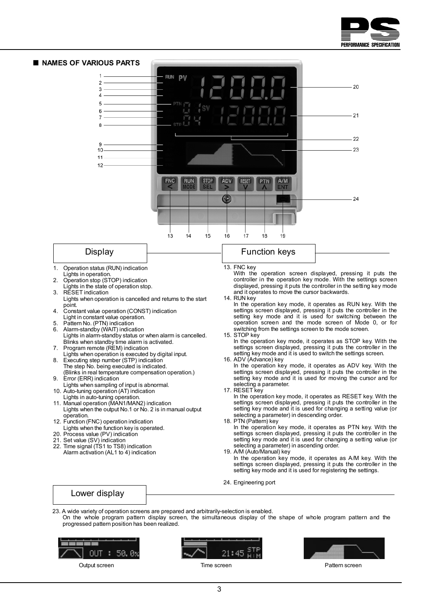



On the whole program pattern display screen, the simultaneous display of the shape of whole program pattern and the progressed pattern position has been realized.







Output screen **Time screen** Time screen **The Screen** Pattern screen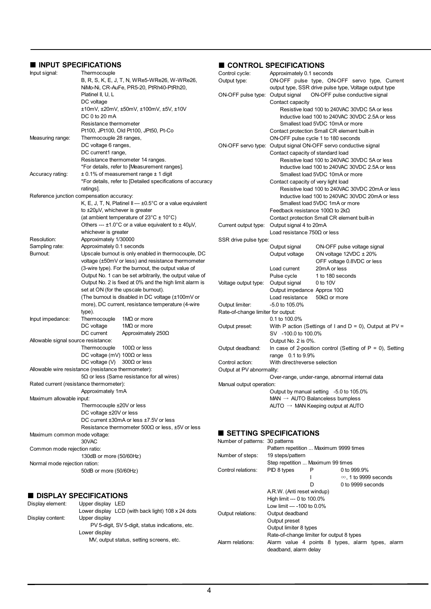# **INPUT SPECIFICATIONS**

| INPUT SPECIFICATIONS                                |                                          |                                                                          | CONTROL SPECIFICATIONS             |                                                                 |                                               |                                                              |  |
|-----------------------------------------------------|------------------------------------------|--------------------------------------------------------------------------|------------------------------------|-----------------------------------------------------------------|-----------------------------------------------|--------------------------------------------------------------|--|
| Input signal:                                       | Thermocouple                             |                                                                          | Control cycle:                     | Approximately 0.1 seconds                                       |                                               |                                                              |  |
|                                                     |                                          | B, R, S, K, E, J, T, N, WRe5-WRe26, W-WRe26,                             | Output type:                       |                                                                 | ON-OFF pulse type, ON-OFF servo type, Current |                                                              |  |
|                                                     |                                          | NiMo-Ni, CR-AuFe, PR5-20, PtRh40-PtRh20,                                 |                                    | output type, SSR drive pulse type, Voltage output type          |                                               |                                                              |  |
|                                                     | Platinel II, U, L                        |                                                                          | ON-OFF pulse type: Output signal   |                                                                 |                                               | ON-OFF pulse conductive signal                               |  |
|                                                     | DC voltage                               |                                                                          |                                    | Contact capacity                                                |                                               |                                                              |  |
|                                                     |                                          | $±10mV, ±20mV, ±50mV, ±100mV, ±5V, ±10V$                                 |                                    |                                                                 |                                               | Resistive load 100 to 240VAC 30VDC 5A or less                |  |
|                                                     | DC 0 to 20 mA                            |                                                                          |                                    |                                                                 |                                               | Inductive load 100 to 240VAC 30VDC 2.5A or less              |  |
|                                                     | Resistance thermometer                   |                                                                          |                                    | Smallest load 5VDC 10mA or more                                 |                                               |                                                              |  |
|                                                     |                                          | Pt100, JPt100, Old Pt100, JPt50, Pt-Co                                   |                                    | Contact protection Small CR element built-in                    |                                               |                                                              |  |
| Measuring range:                                    | Thermocouple 28 ranges,                  |                                                                          |                                    | ON-OFF pulse cycle 1 to 180 seconds                             |                                               |                                                              |  |
|                                                     | DC voltage 6 ranges,                     |                                                                          |                                    | ON-OFF servo type: Output signal ON-OFF servo conductive signal |                                               |                                                              |  |
|                                                     | DC current1 range,                       |                                                                          |                                    | Contact capacity of standard load                               |                                               |                                                              |  |
|                                                     |                                          | Resistance thermometer 14 ranges.                                        |                                    |                                                                 |                                               | Resistive load 100 to 240VAC 30VDC 5A or less                |  |
|                                                     |                                          | *For details, refer to [Measurement ranges].                             |                                    |                                                                 |                                               | Inductive load 100 to 240VAC 30VDC 2.5A or less              |  |
| Accuracy rating:                                    |                                          | $\pm$ 0.1% of measurement range $\pm$ 1 digit                            |                                    | Smallest load 5VDC 10mA or more                                 |                                               |                                                              |  |
|                                                     |                                          | *For details, refer to [Detailed specifications of accuracy              |                                    | Contact capacity of very light load                             |                                               |                                                              |  |
|                                                     | ratings].                                |                                                                          |                                    |                                                                 |                                               | Resistive load 100 to 240VAC 30VDC 20mA or less              |  |
| Reference junction compensation accuracy:           |                                          |                                                                          |                                    |                                                                 |                                               | Inductive load 100 to 240VAC 30VDC 20mA or less              |  |
|                                                     |                                          | K, E, J, T, N, Platinel II --- $\pm 0.5^{\circ}$ C or a value equivalent |                                    | Smallest load 5VDC 1mA or more                                  |                                               |                                                              |  |
|                                                     | to $\pm 20 \mu V$ , whichever is greater |                                                                          |                                    | Feedback resistance 100 $\Omega$ to 2k $\Omega$                 |                                               |                                                              |  |
|                                                     |                                          | (at ambient temperature of 23 $^{\circ}$ C $\pm$ 10 $^{\circ}$ C)        |                                    | Contact protection Small CR element built-in                    |                                               |                                                              |  |
|                                                     |                                          | Others --- $\pm 1.0^{\circ}$ C or a value equivalent to $\pm 40 \mu V$ , | Current output type:               | Output signal 4 to 20mA                                         |                                               |                                                              |  |
|                                                     | whichever is greater                     |                                                                          |                                    | Load resistance $750\Omega$ or less                             |                                               |                                                              |  |
| Resolution:                                         | Approximately 1/30000                    |                                                                          | SSR drive pulse type:              |                                                                 |                                               |                                                              |  |
| Sampling rate:                                      | Approximately 0.1 seconds                |                                                                          |                                    | Output signal                                                   |                                               | ON-OFF pulse voltage signal                                  |  |
| Burnout:                                            |                                          | Upscale burnout is only enabled in thermocouple, DC                      |                                    | Output voltage                                                  |                                               | ON voltage $12VDC \pm 20\%$                                  |  |
|                                                     |                                          | voltage (±50mV or less) and resistance thermometer                       |                                    |                                                                 |                                               | OFF voltage 0.8VDC or less                                   |  |
|                                                     |                                          | (3-wire type). For the burnout, the output value of                      |                                    | Load current                                                    | 20mA or less                                  |                                                              |  |
|                                                     |                                          | Output No. 1 can be set arbitrarily, the output value of                 |                                    | Pulse cycle                                                     | 1 to 180 seconds                              |                                                              |  |
|                                                     |                                          | Output No. 2 is fixed at 0% and the high limit alarm is                  | Voltage output type:               | Output signal                                                   | 0 to 10V                                      |                                                              |  |
|                                                     |                                          | set at ON (for the upscale burnout).                                     |                                    | Output impedance Approx $10\Omega$                              |                                               |                                                              |  |
|                                                     |                                          | (The burnout is disabled in DC voltage (±100mV or                        |                                    | Load resistance<br>$50k\Omega$ or more                          |                                               |                                                              |  |
|                                                     |                                          | more), DC current, resistance temperature (4-wire                        | Output limiter:                    | -5.0 to 105.0%                                                  |                                               |                                                              |  |
|                                                     | type).                                   |                                                                          | Rate-of-change limiter for output: |                                                                 |                                               |                                                              |  |
| Input impedance:                                    | Thermocouple                             | 1 $MO$ or more                                                           |                                    | 0.1 to 100.0%                                                   |                                               |                                                              |  |
|                                                     | DC voltage                               | 1 $M\Omega$ or more                                                      | Output preset:                     |                                                                 |                                               | With P action (Settings of I and $D = 0$ ), Output at PV =   |  |
|                                                     | DC current                               | Approximately 250 $\Omega$                                               |                                    | SV -100.0 to 100.0%                                             |                                               |                                                              |  |
| Allowable signal source resistance:                 |                                          |                                                                          |                                    | Output No. 2 is 0%.                                             |                                               |                                                              |  |
|                                                     | Thermocouple                             | 100 $\Omega$ or less                                                     | Output deadband:                   |                                                                 |                                               | In case of 2-position control (Setting of $P = 0$ ), Setting |  |
|                                                     | DC voltage (mV) $100\Omega$ or less      |                                                                          |                                    | range 0.1 to 9.9%                                               |                                               |                                                              |  |
|                                                     | DC voltage (V) $300\Omega$ or less       |                                                                          | Control action:                    | With direct/reverse selection                                   |                                               |                                                              |  |
| Allowable wire resistance (resistance thermometer): |                                          |                                                                          | Output at PV abnormality:          |                                                                 |                                               |                                                              |  |
|                                                     |                                          | $5\Omega$ or less (Same resistance for all wires)                        |                                    |                                                                 |                                               | Over-range, under-range, abnormal internal data              |  |
| Rated current (resistance thermometer):             |                                          |                                                                          | Manual output operation:           |                                                                 |                                               |                                                              |  |
| Maximum allowable input:                            | Approximately 1mA                        |                                                                          |                                    | Output by manual setting -5.0 to 105.0%                         |                                               |                                                              |  |
|                                                     | Thermocouple ±20V or less                |                                                                          |                                    | $MAN \rightarrow AUTO$ Balanceless bumpless                     |                                               |                                                              |  |
|                                                     | DC voltage ±20V or less                  |                                                                          |                                    | $AUTO \rightarrow MAN$ Keeping output at AUTO                   |                                               |                                                              |  |
|                                                     |                                          | DC current ±30mA or less ±7.5V or less                                   |                                    |                                                                 |                                               |                                                              |  |
|                                                     |                                          | Resistance thermometer $500\Omega$ or less, ±5V or less                  |                                    |                                                                 |                                               |                                                              |  |
| Maximum common mode voltage:                        |                                          |                                                                          | SETTING SPECIFICATIONS             |                                                                 |                                               |                                                              |  |
|                                                     | 30VAC                                    |                                                                          | Number of patterns: 30 patterns    |                                                                 |                                               |                                                              |  |
| Common mode rejection ratio:                        |                                          |                                                                          |                                    | Pattern repetition  Maximum 9999 times                          |                                               |                                                              |  |
|                                                     | 130dB or more (50/60Hz)                  |                                                                          | Number of steps:                   | 19 steps/pattern                                                |                                               |                                                              |  |
| Normal mode rejection ration:                       |                                          |                                                                          |                                    | Step repetition  Maximum 99 times                               |                                               |                                                              |  |
|                                                     | 50dB or more (50/60Hz)                   |                                                                          | Control relations:                 | PID 8 types                                                     | P                                             | 0 to 999.9%                                                  |  |
|                                                     |                                          |                                                                          |                                    |                                                                 |                                               | $\infty$ , 1 to 9999 seconds                                 |  |

#### **DISPLAY SPECIFICATIONS**

| Display element:<br>Display content: | <b>DISPLAY SPECIFICATIONS</b><br>Upper display LED<br>Lower display LCD (with back light) 108 x 24 dots<br>Upper display<br>PV 5-digit, SV 5-digit, status indications, etc. | Output relations: | A.R.W. (Anti reset windup)<br>High limit --- 0 to 100.0%<br>Low limit --- -100 to 0.0%<br>Output deadband<br>Output preset<br>Output limiter 8 types |  |
|--------------------------------------|------------------------------------------------------------------------------------------------------------------------------------------------------------------------------|-------------------|------------------------------------------------------------------------------------------------------------------------------------------------------|--|
|                                      | Lower display<br>MV, output status, setting screens, etc.                                                                                                                    | Alarm relations:  | Rate-of-change limiter for output 8 types<br>Alarm value 4 points 8 types, alarm types, alarm                                                        |  |

D 0 to 9999 seconds

deadband, alarm delay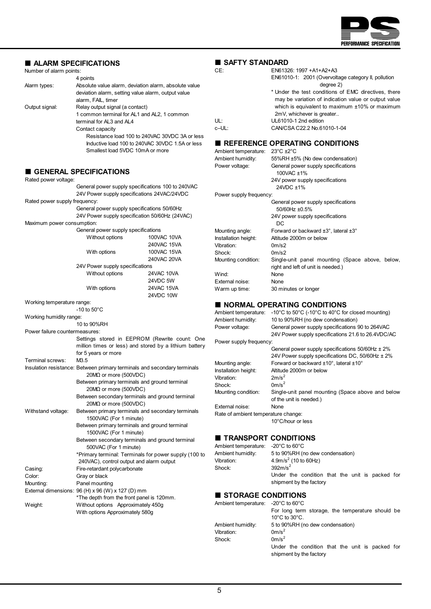

| ■ ALARM SPECIFICATIONS         |                                                            |                                                                          | SAFTY STANDARD                      |                                                                                       |  |  |
|--------------------------------|------------------------------------------------------------|--------------------------------------------------------------------------|-------------------------------------|---------------------------------------------------------------------------------------|--|--|
| Number of alarm points:        |                                                            |                                                                          | CE:                                 | EN61326: 1997 + A1 + A2 + A3                                                          |  |  |
|                                | 4 points                                                   |                                                                          |                                     | EN61010-1: 2001 (Overvoltage category II, pollution                                   |  |  |
| Alarm types:                   |                                                            | Absolute value alarm, deviation alarm, absolute value                    |                                     | degree 2)                                                                             |  |  |
|                                | deviation alarm, setting value alarm, output value         |                                                                          |                                     | * Under the test conditions of EMC directives, there                                  |  |  |
|                                | alarm, FAIL, timer                                         |                                                                          |                                     | may be variation of indication value or output value                                  |  |  |
| Output signal:                 | Relay output signal (a contact)                            |                                                                          |                                     | which is equivalent to maximum $±10\%$ or maximum                                     |  |  |
|                                | 1 common terminal for AL1 and AL2, 1 common                |                                                                          |                                     | 2mV, whichever is greater                                                             |  |  |
|                                | terminal for AL3 and AL4                                   |                                                                          | UL:                                 | UL61010-1 2nd edition                                                                 |  |  |
|                                | Contact capacity                                           |                                                                          | c-UL:                               | CAN/CSA C22.2 No.61010-1-04                                                           |  |  |
|                                |                                                            | Resistance load 100 to 240VAC 30VDC 3A or less                           |                                     |                                                                                       |  |  |
|                                |                                                            | Inductive load 100 to 240VAC 30VDC 1.5A or less                          |                                     | <b>REFERENCE OPERATING CONDITIONS</b>                                                 |  |  |
|                                | Smallest load 5VDC 10mA or more                            |                                                                          | Ambient temperature: 23°C ±2°C      |                                                                                       |  |  |
|                                |                                                            |                                                                          | Ambient humidity:                   | 55%RH ±5% (No dew condensation)                                                       |  |  |
|                                |                                                            |                                                                          | Power voltage:                      | General power supply specifications                                                   |  |  |
|                                | GENERAL SPECIFICATIONS                                     |                                                                          |                                     | 100VAC ±1%                                                                            |  |  |
| Rated power voltage:           |                                                            |                                                                          |                                     | 24V power supply specifications                                                       |  |  |
|                                |                                                            | General power supply specifications 100 to 240VAC                        |                                     | 24VDC ±1%                                                                             |  |  |
|                                | 24V Power supply specifications 24VAC/24VDC                |                                                                          | Power supply frequency:             |                                                                                       |  |  |
| Rated power supply frequency:  |                                                            |                                                                          |                                     | General power supply specifications                                                   |  |  |
|                                | General power supply specifications 50/60Hz                |                                                                          |                                     | 50/60Hz ±0.5%                                                                         |  |  |
|                                | 24V Power supply specification 50/60Hz (24VAC)             |                                                                          |                                     | 24V power supply specifications                                                       |  |  |
| Maximum power consumption:     |                                                            |                                                                          |                                     | DC                                                                                    |  |  |
|                                | General power supply specifications                        |                                                                          | Mounting angle:                     | Forward or backward $\pm 3^{\circ}$ , lateral $\pm 3^{\circ}$                         |  |  |
|                                | Without options                                            | 100VAC 10VA                                                              | Installation height:                | Altitude 2000m or below                                                               |  |  |
|                                |                                                            | 240VAC 15VA                                                              | Vibration:                          | 0m/s2                                                                                 |  |  |
|                                | With options                                               | 100VAC 15VA                                                              | Shock:                              | 0m/s2                                                                                 |  |  |
|                                |                                                            | 240VAC 20VA                                                              |                                     |                                                                                       |  |  |
|                                | 24V Power supply specifications                            |                                                                          | Mounting condition:                 | Single-unit panel mounting (Space above, below,<br>right and left of unit is needed.) |  |  |
|                                | Without options                                            | <b>24VAC 10VA</b>                                                        | Wind:                               | None                                                                                  |  |  |
|                                |                                                            | 24VDC 5W                                                                 | External noise:                     | None                                                                                  |  |  |
|                                | With options                                               | 24VAC 15VA                                                               | Warm up time:                       | 30 minutes or longer                                                                  |  |  |
|                                |                                                            | 24VDC 10W                                                                |                                     |                                                                                       |  |  |
| Working temperature range:     |                                                            |                                                                          |                                     |                                                                                       |  |  |
|                                | $-10$ to $50^{\circ}$ C                                    |                                                                          |                                     | <b>NORMAL OPERATING CONDITIONS</b>                                                    |  |  |
| Working humidity range:        |                                                            |                                                                          |                                     | Ambient temperature: -10°C to 50°C (-10°C to 40°C for closed mounting)                |  |  |
|                                | 10 to 90%RH                                                |                                                                          | Ambient humidity:                   | 10 to 90%RH (no dew condensation)                                                     |  |  |
| Power failure countermeasures: |                                                            |                                                                          | Power voltage:                      | General power supply specifications 90 to 264VAC                                      |  |  |
|                                |                                                            | Settings stored in EEPROM (Rewrite count: One                            |                                     | 24V Power supply specifications 21.6 to 26.4VDC/AC                                    |  |  |
|                                |                                                            | million times or less) and stored by a lithium battery                   | Power supply frequency:             |                                                                                       |  |  |
|                                | for 5 years or more                                        |                                                                          |                                     | General power supply specifications $50/60$ Hz $\pm 2\%$                              |  |  |
| Terminal screws:               | M3.5                                                       |                                                                          |                                     | 24V Power supply specifications DC, 50/60Hz ± 2%                                      |  |  |
|                                |                                                            | Insulation resistance: Between primary terminals and secondary terminals | Mounting angle:                     | Forward or backward ±10°, lateral ±10°                                                |  |  |
|                                | $20M\Omega$ or more (500VDC)                               |                                                                          | Installation height:                | Altitude 2000m or below                                                               |  |  |
|                                | Between primary terminals and ground terminal              |                                                                          | Vibration:                          | 2m/s <sup>2</sup>                                                                     |  |  |
|                                | 20MΩ or more (500VDC)                                      |                                                                          | Shock:                              | 0m/s <sup>2</sup>                                                                     |  |  |
|                                |                                                            | Between secondary terminals and ground terminal                          | Mounting condition:                 | Single-unit panel mounting (Space above and below                                     |  |  |
|                                | $20M\Omega$ or more (500VDC)                               |                                                                          |                                     | of the unit is needed.)                                                               |  |  |
| Withstand voltage:             |                                                            | Between primary terminals and secondary terminals                        | External noise:                     | None                                                                                  |  |  |
|                                | 1500VAC (For 1 minute)                                     |                                                                          | Rate of ambient temperature change: |                                                                                       |  |  |
|                                | Between primary terminals and ground terminal              |                                                                          |                                     | 10°C/hour or less                                                                     |  |  |
|                                | 1500VAC (For 1 minute)                                     |                                                                          |                                     |                                                                                       |  |  |
|                                |                                                            | Between secondary terminals and ground terminal                          | ■ TRANSPORT CONDITIONS              |                                                                                       |  |  |
|                                | 500VAC (For 1 minute)                                      |                                                                          | Ambient temperature:                | $-20^{\circ}$ C to 60 $^{\circ}$ C                                                    |  |  |
|                                |                                                            | *Primary terminal: Terminals for power supply (100 to                    | Ambient humidity:                   | 5 to 90%RH (no dew condensation)                                                      |  |  |
|                                | 240VAC), control output and alarm output                   |                                                                          | Vibration:                          | 4.9m/s <sup>2</sup> (10 to 60Hz)                                                      |  |  |
| Casing:                        | Fire-retardant polycarbonate                               |                                                                          | Shock:                              | $392m/s^2$                                                                            |  |  |
| Color:                         | Gray or black                                              |                                                                          |                                     | Under the condition that the unit is packed for                                       |  |  |
| Mounting:                      | Panel mounting                                             |                                                                          |                                     | shipment by the factory                                                               |  |  |
|                                | External dimensions: $96(H) \times 96(W) \times 127(D)$ mm |                                                                          |                                     |                                                                                       |  |  |
|                                | *The depth from the front panel is 120mm.                  |                                                                          | STORAGE CONDITIONS                  |                                                                                       |  |  |
| Weight:                        | Without options Approximately 450g                         |                                                                          | Ambient temperature: -20°C to 60°C  |                                                                                       |  |  |
|                                | With options Approximately 580g                            |                                                                          |                                     | For long term storage, the temperature should be                                      |  |  |
|                                |                                                            |                                                                          |                                     | 10 $\degree$ C to 30 $\degree$ C.                                                     |  |  |
|                                |                                                            |                                                                          | Ambient humidity:                   | 5 to 90%RH (no dew condensation)                                                      |  |  |
|                                |                                                            |                                                                          | Vibration:                          | $0m/s^2$                                                                              |  |  |
|                                |                                                            |                                                                          | Shock:                              | 0m/s <sup>2</sup>                                                                     |  |  |

Under the condition that the unit is packed for

shipment by the factory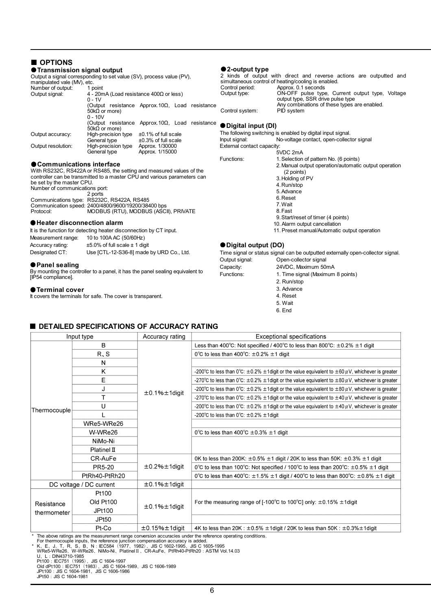| OPTIONS                                                                                             |                                                                                              |                                                  |  |            |                                   |                                                                                                                            |
|-----------------------------------------------------------------------------------------------------|----------------------------------------------------------------------------------------------|--------------------------------------------------|--|------------|-----------------------------------|----------------------------------------------------------------------------------------------------------------------------|
| ● Transmission signal output                                                                        |                                                                                              |                                                  |  |            | $\bullet$ 2-output type           |                                                                                                                            |
| Output a signal corresponding to set value (SV), process value (PV),<br>manipulated vale (MV), etc. |                                                                                              |                                                  |  |            |                                   | 2 kinds of output with direct and reverse actions are outputted and<br>simultaneous control of heating/cooling is enabled. |
| Number of output:<br>1 point                                                                        |                                                                                              |                                                  |  |            | Control period:                   | Approx. 0.1 seconds                                                                                                        |
| Output signal:                                                                                      | 4 - 20mA (Load resistance $400\Omega$ or less)<br>$0 - 1V$                                   |                                                  |  |            | Output type:                      | ON-OFF pulse type, Current output type, Voltage<br>output type, SSR drive pulse type                                       |
|                                                                                                     | (Output resistance Approx. $10\Omega$ , Load resistance<br>$50k\Omega$ or more)<br>$0 - 10V$ |                                                  |  |            | Control system:                   | Any combinations of these types are enabled.<br>PID system                                                                 |
|                                                                                                     | (Output resistance Approx.10 $\Omega$ , Load resistance                                      |                                                  |  |            | ● Digital input (DI)              |                                                                                                                            |
|                                                                                                     | $50k\Omega$ or more)                                                                         |                                                  |  |            |                                   | The following switching is enabled by digital input signal.                                                                |
| Output accuracy:                                                                                    | High-precision type<br>General type                                                          | $\pm 0.1\%$ of full scale<br>±0.3% of full scale |  |            | Input signal:                     | No-voltage contact, open-collector signal                                                                                  |
| Output resolution:                                                                                  | High-precision type Approx. 1/30000                                                          |                                                  |  |            | External contact capacity:        |                                                                                                                            |
|                                                                                                     | General type                                                                                 | Approx. 1/15000                                  |  |            |                                   | 5VDC 2mA                                                                                                                   |
|                                                                                                     |                                                                                              |                                                  |  |            | Functions:                        | 1. Selection of pattern No. (6 points)                                                                                     |
| ● Communications interface                                                                          |                                                                                              |                                                  |  |            |                                   | 2. Manual output operation/automatic output operation                                                                      |
| With RS232C, RS422A or RS485, the setting and measured values of the                                |                                                                                              |                                                  |  |            |                                   | (2 points)                                                                                                                 |
| controller can be transmitted to a master CPU and various parameters can                            |                                                                                              |                                                  |  |            |                                   | 3. Holding of PV                                                                                                           |
| be set by the master CPU.                                                                           |                                                                                              |                                                  |  |            |                                   | 4. Run/stop                                                                                                                |
| Number of communications port:                                                                      |                                                                                              |                                                  |  |            |                                   | 5. Advance                                                                                                                 |
| Communications type: RS232C, RS422A, RS485                                                          | 2 ports                                                                                      |                                                  |  |            |                                   | 6. Reset                                                                                                                   |
| Communication speed: 2400/4800/9600/19200/38400 bps                                                 |                                                                                              |                                                  |  |            |                                   | 7. Wait                                                                                                                    |
| Protocol:                                                                                           | MODBUS (RTU), MODBUS (ASCII), PRIVATE                                                        |                                                  |  |            |                                   | 8. Fast                                                                                                                    |
|                                                                                                     |                                                                                              |                                                  |  |            |                                   | 9. Start/reset of timer (4 points)                                                                                         |
| ● Heater disconnection alarm                                                                        |                                                                                              |                                                  |  |            |                                   | 10. Alarm output cancellation                                                                                              |
| It is the function for detecting heater disconnection by CT input.                                  |                                                                                              |                                                  |  |            |                                   | 11. Preset manual/Automatic output operation                                                                               |
| Measurement range:                                                                                  | 10 to 100A AC (50/60Hz)                                                                      |                                                  |  |            |                                   |                                                                                                                            |
| Accuracy rating:                                                                                    | $\pm 5.0\%$ of full scale $\pm$ 1 digit                                                      |                                                  |  |            | ● Digital output (DO)             |                                                                                                                            |
| Designated CT:                                                                                      | Use [CTL-12-S36-8] made by URD Co., Ltd.                                                     |                                                  |  |            |                                   | Time signal or status signal can be outputted externally open-collector signal.                                            |
|                                                                                                     |                                                                                              |                                                  |  |            | Output signal:                    | Open-collector signal                                                                                                      |
| ● Panel sealing                                                                                     |                                                                                              |                                                  |  |            | Capacity:                         | 24VDC, Maximum 50mA                                                                                                        |
| By mounting the controller to a panel, it has the panel sealing equivalent to                       |                                                                                              |                                                  |  | Functions: | 1. Time signal (Maximum 8 points) |                                                                                                                            |
| [IP54 compliance].                                                                                  |                                                                                              |                                                  |  |            | 2. Run/stop                       |                                                                                                                            |

#### $\bullet$  Terminal cover

It covers the terminals for safe. The cover is transparent.

 3. Advance 4. Reset 5. Wait

6. End

# ■ **DETAILED SPECIFICATIONS OF ACCURACY RATING**

| Input type   |                         | Accuracy rating          | <b>Exceptional specifications</b>                                                                                                            |
|--------------|-------------------------|--------------------------|----------------------------------------------------------------------------------------------------------------------------------------------|
|              | B                       |                          | Less than 400°C: Not specified / 400°C to less than 800°C: $\pm$ 0.2% $\pm$ 1 digit                                                          |
|              | R.S                     |                          | 0°C to less than 400°C: $\pm$ 0.2% $\pm$ 1 digit                                                                                             |
|              | N                       |                          |                                                                                                                                              |
|              | Κ                       |                          | -200°C to less than 0°C: $\pm$ 0.2% $\pm$ 1 digit or the value equivalent to $\pm$ 60 $\mu$ V, whichever is greater                          |
|              | E                       |                          | -270 <sup>°</sup> C to less than 0 <sup>°</sup> C: $\pm$ 0.2% $\pm$ 1digit or the value equivalent to $\pm$ 80 $\mu$ V, whichever is greater |
|              |                         | $\pm$ 0.1% $\pm$ 1digit  | -200°C to less than 0°C: $\pm$ 0.2% $\pm$ 1 digit or the value equivalent to $\pm$ 80 $\mu$ V, whichever is greater                          |
|              | т                       |                          | -270 <sup>°</sup> C to less than 0 <sup>°</sup> C: $\pm$ 0.2% $\pm$ 1digit or the value equivalent to $\pm$ 40 $\mu$ V, whichever is greater |
| Thermocouple | U                       |                          | -200°C to less than 0°C: $\pm$ 0.2% $\pm$ 1 digit or the value equivalent to $\pm$ 40 $\mu$ V, whichever is greater                          |
|              |                         |                          | -200°C to less than $0^{\circ}$ C: $\pm$ 0.2% $\pm$ 1 digit                                                                                  |
|              | WRe5-WRe26              |                          |                                                                                                                                              |
|              | W-WRe26                 |                          | 0°C to less than 400°C $\pm$ 0.3% $\pm$ 1 digit                                                                                              |
|              | NiMo-Ni                 |                          |                                                                                                                                              |
|              | Platinel $\mathbb I$    |                          |                                                                                                                                              |
|              | CR-AuFe                 |                          | OK to less than 200K: $\pm 0.5\% \pm 1$ digit / 20K to less than 50K: $\pm 0.3\% \pm 1$ digit                                                |
|              | PR5-20                  | $\pm$ 0.2% $\pm$ 1digit  | 0°C to less than 100°C. Not specified / 100°C to less than 200°C: $\pm$ 0.5% $\pm$ 1 digit                                                   |
|              | PtRh40-PtRh20           |                          | 0°C to less than 400°C: $\pm$ 1.5% $\pm$ 1 digit / 400°C to less than 800°C: $\pm$ 0.8% $\pm$ 1 digit                                        |
|              | DC voltage / DC current | $\pm$ 0.1% $\pm$ 1digit  |                                                                                                                                              |
|              | Pt100                   |                          |                                                                                                                                              |
| Resistance   | Old Pt100               |                          | For the measuring range of [-100 $^{\circ}$ C to 100 $^{\circ}$ C] only: $\pm$ 0.15% $\pm$ 1digit                                            |
| thermometer  | JPt100                  | $\pm$ 0.1% $\pm$ 1digit  |                                                                                                                                              |
|              | JPt <sub>50</sub>       |                          |                                                                                                                                              |
|              | Pt-Co                   | $\pm$ 0.15% $\pm$ 1digit | 4K to less than 20K: $\pm 0.5\% \pm 1$ digit / 20K to less than 50K: $\pm 0.3\% \pm 1$ digit                                                 |

\* The above ratings are the measurement range conversion accuracies under the reference operating conditions.<br>
For thermocouple inputs, the reference junction compensation accuracy is added.<br>
\* K, E, J, T, R, S, B, N : IEC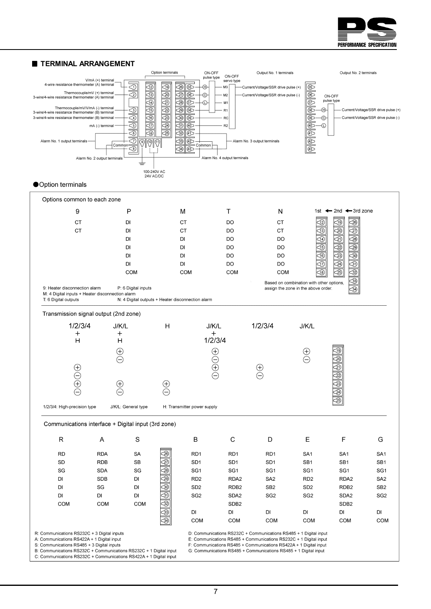